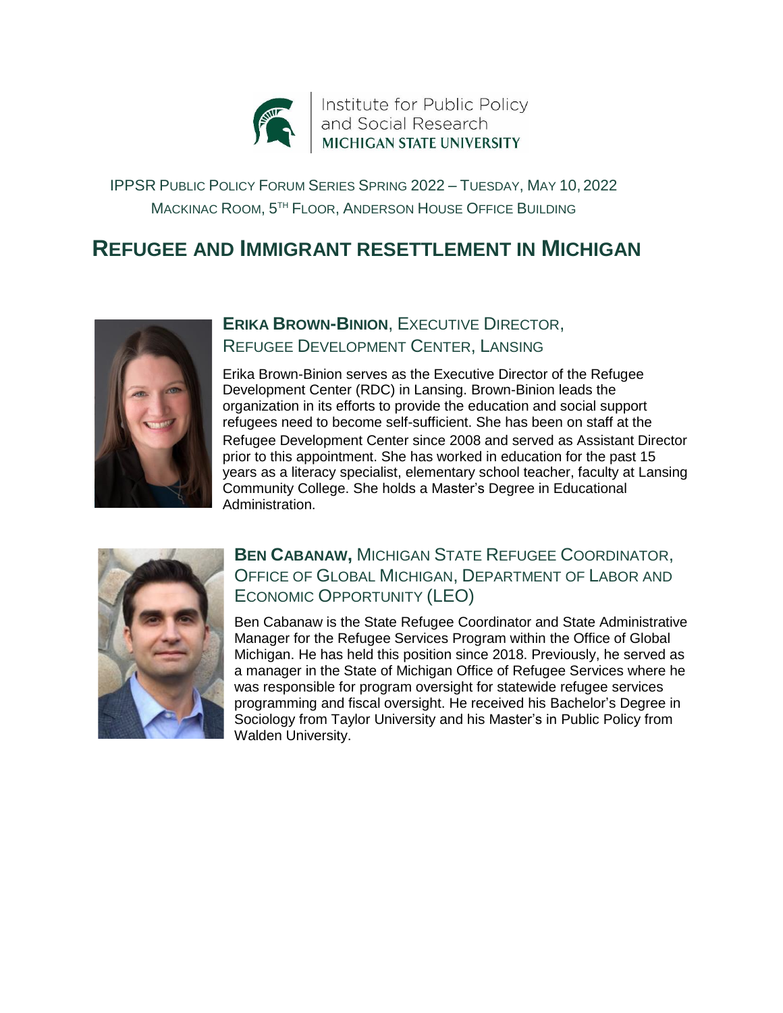

IPPSR PUBLIC POLICY FORUM SERIES SPRING 2022 – TUESDAY, MAY 10, 2022 MACKINAC ROOM, 5 TH FLOOR, ANDERSON HOUSE OFFICE BUILDING

# **REFUGEE AND IMMIGRANT RESETTLEMENT IN MICHIGAN**



## **ERIKA BROWN-BINION**, EXECUTIVE DIRECTOR, REFUGEE DEVELOPMENT CENTER, LANSING

Erika Brown-Binion serves as the Executive Director of the Refugee Development Center (RDC) in Lansing. Brown-Binion leads the organization in its efforts to provide the education and social support refugees need to become self-sufficient. She has been on staff at the Refugee Development Center since 2008 and served as Assistant Director prior to this appointment. She has worked in education for the past 15 years as a literacy specialist, elementary school teacher, faculty at Lansing Community College. She holds a Master's Degree in Educational Administration.



### **BEN CABANAW,** MICHIGAN STATE REFUGEE COORDINATOR, OFFICE OF GLOBAL MICHIGAN, DEPARTMENT OF LABOR AND ECONOMIC OPPORTUNITY (LEO)

Ben Cabanaw is the State Refugee Coordinator and State Administrative Manager for the Refugee Services Program within the Office of Global Michigan. He has held this position since 2018. Previously, he served as a manager in the State of Michigan Office of Refugee Services where he was responsible for program oversight for statewide refugee services programming and fiscal oversight. He received his Bachelor's Degree in Sociology from Taylor University and his Master's in Public Policy from Walden University.